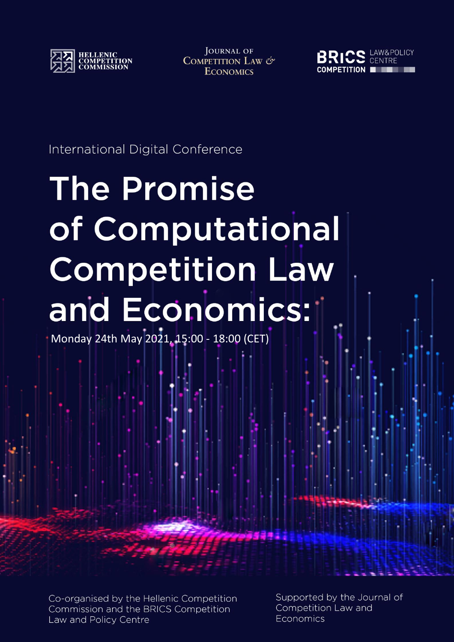

**JOURNAL OF** COMPETITION LAW & **ECONOMICS** 



International Digital Conference

# **The Promise** of Computational **Competition Law** and Economics:

Monday 24th May 2021, 15:00 - 18:00 (CET)

Co-organised by the Hellenic Competition Commission and the BRICS Competition Law and Policy Centre

Supported by the Journal of Competition Law and Economics